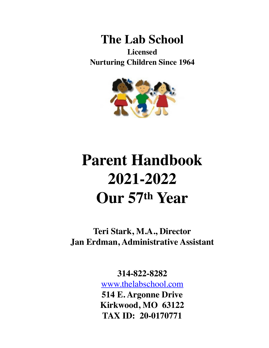



# **Parent Handbook 2021-2022 Our 57th Year**

**Teri Stark, M.A., Director Jan Erdman, Administrative Assistant**

**314-822-8282**

[www.thelabschool.com](http://www.thelabschool.com) **514 E. Argonne Drive Kirkwood, MO 63122 TAX ID: 20-0170771**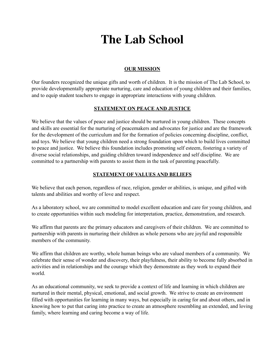# **The Lab School**

# **OUR MISSION**

Our founders recognized the unique gifts and worth of children. It is the mission of The Lab School, to provide developmentally appropriate nurturing, care and education of young children and their families, and to equip student teachers to engage in appropriate interactions with young children.

# **STATEMENT ON PEACE AND JUSTICE**

We believe that the values of peace and justice should be nurtured in young children. These concepts and skills are essential for the nurturing of peacemakers and advocates for justice and are the framework for the development of the curriculum and for the formation of policies concerning discipline, conflict, and toys. We believe that young children need a strong foundation upon which to build lives committed to peace and justice. We believe this foundation includes promoting self esteem, fostering a variety of diverse social relationships, and guiding children toward independence and self discipline. We are committed to a partnership with parents to assist them in the task of parenting peacefully.

# **STATEMENT OF VALUES AND BELIEFS**

We believe that each person, regardless of race, religion, gender or abilities, is unique, and gifted with talents and abilities and worthy of love and respect.

As a laboratory school, we are committed to model excellent education and care for young children, and to create opportunities within such modeling for interpretation, practice, demonstration, and research.

We affirm that parents are the primary educators and caregivers of their children. We are committed to partnership with parents in nurturing their children as whole persons who are joyful and responsible members of the community.

We affirm that children are worthy, whole human beings who are valued members of a community. We celebrate their sense of wonder and discovery, their playfulness, their ability to become fully absorbed in activities and in relationships and the courage which they demonstrate as they work to expand their world.

As an educational community, we seek to provide a context of life and learning in which children are nurtured in their mental, physical, emotional, and social growth. We strive to create an environment filled with opportunities for learning in many ways, but especially in caring for and about others, and in knowing how to put that caring into practice to create an atmosphere resembling an extended, and loving family, where learning and caring become a way of life.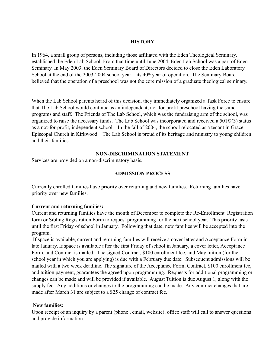# **HISTORY**

In 1964, a small group of persons, including those affiliated with the Eden Theological Seminary, established the Eden Lab School. From that time until June 2004, Eden Lab School was a part of Eden Seminary. In May 2003, the Eden Seminary Board of Directors decided to close the Eden Laboratory School at the end of the 2003-2004 school year—its 40th year of operation. The Seminary Board believed that the operation of a preschool was not the core mission of a graduate theological seminary.

When the Lab School parents heard of this decision, they immediately organized a Task Force to ensure that The Lab School would continue as an independent, not-for-profit preschool having the same programs and staff. The Friends of The Lab School, which was the fundraising arm of the school, was organized to raise the necessary funds. The Lab School was incorporated and received a 501©(3) status as a not-for-profit, independent school. In the fall of 2004, the school relocated as a tenant in Grace Episcopal Church in Kirkwood. The Lab School is proud of its heritage and ministry to young children and their families.

# **NON-DISCRIMINATION STATEMENT**

Services are provided on a non-discriminatory basis.

# **ADMISSION PROCESS**

Currently enrolled families have priority over returning and new families. Returning families have priority over new families.

# **Current and returning families:**

Current and returning families have the month of December to complete the Re-Enrollment Registration form or Sibling Registration Form to request programming for the next school year. This priority lasts until the first Friday of school in January. Following that date, new families will be accepted into the program.

 If space is available, current and returning families will receive a cover letter and Acceptance Form in late January, If space is available after the first Friday of school in January, a cover letter, Acceptance Form, and Contract is mailed. The signed Contract, \$100 enrollment fee, and May tuition (for the school year in which you are applying) is due with a February due date. Subsequent admissions will be mailed with a two week deadline. The signature of the Acceptance Form, Contract, \$100 enrollment fee, and tuition payment, guarantees the agreed upon programming. Requests for additional programming or changes can be made and will be provided if available. August Tuition is due August 1, along with the supply fee. Any additions or changes to the programming can be made. Any contract changes that are made after March 31 are subject to a \$25 change of contract fee.

# **New families:**

Upon receipt of an inquiry by a parent (phone , email, website), office staff will call to answer questions and provide information.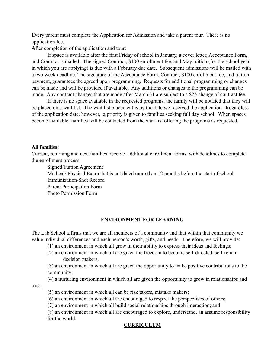Every parent must complete the Application for Admission and take a parent tour. There is no application fee.

After completion of the application and tour:

 If space is available after the first Friday of school in January, a cover letter, Acceptance Form, and Contract is mailed. The signed Contract, \$100 enrollment fee, and May tuition (for the school year in which you are applying) is due with a February due date. Subsequent admissions will be mailed with a two week deadline. The signature of the Acceptance Form, Contract, \$100 enrollment fee, and tuition payment, guarantees the agreed upon programming. Requests for additional programming or changes can be made and will be provided if available. Any additions or changes to the programming can be made. Any contract changes that are made after March 31 are subject to a \$25 change of contract fee.

 If there is no space available in the requested programs, the family will be notified that they will be placed on a wait list. The wait list placement is by the date we received the application. Regardless of the application date, however, a priority is given to families seeking full day school. When spaces become available, families will be contacted from the wait list offering the programs as requested.

#### **All families:**

Current, returning and new families receive additional enrollment forms with deadlines to complete the enrollment process.

 Signed Tuition Agreement Medical/ Physical Exam that is not dated more than 12 months before the start of school Immunization/Shot Record Parent Participation Form Photo Permission Form

# **ENVIRONMENT FOR LEARNING**

The Lab School affirms that we are all members of a community and that within that community we value individual differences and each person's worth, gifts, and needs. Therefore, we will provide:

(1) an environment in which all grow in their ability to express their ideas and feelings;

 (2) an environment in which all are given the freedom to become self-directed, self-reliant decision makers;

 (3) an environment in which all are given the opportunity to make positive contributions to the community;

 (4) a nurturing environment in which all are given the opportunity to grow in relationships and trust;

(5) an environment in which all can be risk takers, mistake makers;

(6) an environment in which all are encouraged to respect the perspectives of others;

(7) an environment in which all build social relationships through interaction; and

(8) an environment in which all are encouraged to explore, understand, an assume responsibility for the world.

# **CURRICULUM**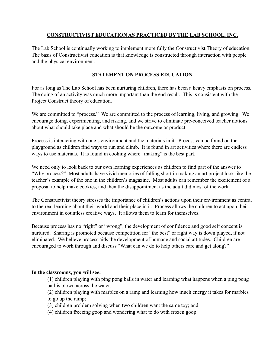# **CONSTRUCTIVIST EDUCATION AS PRACTICED BY THE LAB SCHOOL, INC.**

The Lab School is continually working to implement more fully the Constructivist Theory of education. The basis of Constructivist education is that knowledge is constructed through interaction with people and the physical environment.

# **STATEMENT ON PROCESS EDUCATION**

For as long as The Lab School has been nurturing children, there has been a heavy emphasis on process. The doing of an activity was much more important than the end result. This is consistent with the Project Construct theory of education.

We are committed to "process." We are committed to the process of learning, living, and growing. We encourage doing, experimenting, and risking, and we strive to eliminate pre-conceived teacher notions about what should take place and what should be the outcome or product.

Process is interacting with one's environment and the materials in it. Process can be found on the playground as children find ways to run and climb. It is found in art activities where there are endless ways to use materials. It is found in cooking where "making" is the best part.

We need only to look back to our own learning experiences as children to find part of the answer to "Why process?" Most adults have vivid memories of falling short in making an art project look like the teacher's example of the one in the children's magazine. Most adults can remember the excitement of a proposal to help make cookies, and then the disappointment as the adult did most of the work.

The Constructivist theory stresses the importance of children's actions upon their environment as central to the real learning about their world and their place in it. Process allows the children to act upon their environment in countless creative ways. It allows them to learn for themselves.

Because process has no "right" or "wrong", the development of confidence and good self concept is nurtured. Sharing is promoted because competition for "the best" or right way is down played, if not eliminated. We believe process aids the development of humane and social attitudes. Children are encouraged to work through and discuss "What can we do to help others care and get along?"

# **In the classrooms, you will see:**

(1) children playing with ping pong balls in water and learning what happens when a ping pong ball is blown across the water;

(2) children playing with marbles on a ramp and learning how much energy it takes for marbles to go up the ramp;

(3) children problem solving when two children want the same toy; and

(4) children freezing goop and wondering what to do with frozen goop.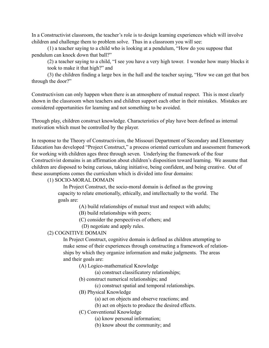In a Constructivist classroom, the teacher's role is to design learning experiences which will involve children and challenge them to problem solve. Thus in a classroom you will see:

 (1) a teacher saying to a child who is looking at a pendulum, "How do you suppose that pendulum can knock down that ball?"

(2) a teacher saying to a child, "I see you have a very high tower. I wonder how many blocks it took to make it that high?" and

 (3) the children finding a large box in the hall and the teacher saying, "How we can get that box through the door?"

Constructivism can only happen when there is an atmosphere of mutual respect. This is most clearly shown in the classroom when teachers and children support each other in their mistakes. Mistakes are considered opportunities for learning and not something to be avoided.

Through play, children construct knowledge. Characteristics of play have been defined as internal motivation which must be controlled by the player.

In response to the Theory of Constructivism, the Missouri Department of Secondary and Elementary Education has developed "Project Construct," a process oriented curriculum and assessment framework for working with children ages three through seven. Underlying the framework of the four Constructivist domains is an affirmation about children's disposition toward learning. We assume that children are disposed to being curious, taking initiative, being confident, and being creative. Out of these assumptions comes the curriculum which is divided into four domains:

# (1) SOCIO-MORAL DOMAIN

 In Project Construct, the socio-moral domain is defined as the growing capacity to relate emotionally, ethically, and intellectually to the world. The goals are:

(A) build relationships of mutual trust and respect with adults;

(B) build relationships with peers;

(C) consider the perspectives of others; and

(D) negotiate and apply rules.

# (2) COGNITIVE DOMAIN

 In Project Construct, cognitive domain is defined as children attempting to make sense of their experiences through constructing a framework of relation ships by which they organize information and make judgments. The areas and their goals are:

(A) Logico-mathematical Knowledge

(a) construct classificatory relationships;

(b) construct numerical relationships; and

(c) construct spatial and temporal relationships.

(B) Physical Knowledge

- (a) act on objects and observe reactions; and
- (b) act on objects to produce the desired effects.
- (C) Conventional Knowledge
	- (a) know personal information;
	- (b) know about the community; and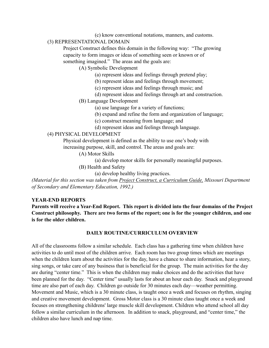(c) know conventional notations, manners, and customs.

# (3) REPRESENTATIONAL DOMAIN

 Project Construct defines this domain in the following way: "The growing capacity to form images or ideas of something seen or known or of something imagined." The areas and the goals are:

(A) Symbolic Development

(a) represent ideas and feelings through pretend play;

(b) represent ideas and feelings through movement;

(c) represent ideas and feelings through music; and

(d) represent ideas and feelings through art and construction.

(B) Language Development

(a) use language for a variety of functions;

(b) expand and refine the form and organization of language;

(c) construct meaning from language; and

(d) represent ideas and feelings through language.

#### (4) PHYSICAL DEVELOPMENT

 Physical development is defined as the ability to use one's body with increasing purpose, skill, and control. The areas and goals are:

(A) Motor Skills

(a) develop motor skills for personally meaningful purposes.

(B) Health and Safety

(a) develop healthy living practices.

*(Material for this section was taken from Project Construct, a Curriculum Guide, Missouri Department of Secondary and Elementary Education, 1992.)* 

#### **YEAR-END REPORTS**

**Parents will receive a Year-End Report. This report is divided into the four domains of the Project Construct philosophy. There are two forms of the report; one is for the younger children, and one is for the older children.** 

#### **DAILY ROUTINE/CURRICULUM OVERVIEW**

All of the classrooms follow a similar schedule. Each class has a gathering time when children have activities to do until most of the children arrive. Each room has two group times which are meetings when the children learn about the activities for the day, have a chance to share information, hear a story, sing songs, or take care of any business that is beneficial for the group. The main activities for the day are during "center time." This is when the children may make choices and do the activities that have been planned for the day. "Center time" usually lasts for about an hour each day. Snack and playground time are also part of each day. Children go outside for 30 minutes each day—weather permitting. Movement and Music, which is a 30 minute class, is taught once a week and focuses on rhythm, singing and creative movement development. Gross Motor class is a 30 minute class taught once a week and focuses on strengthening childrens' large muscle skill development. Children who attend school all day follow a similar curriculum in the afternoon. In addition to snack, playground, and "center time," the children also have lunch and nap time.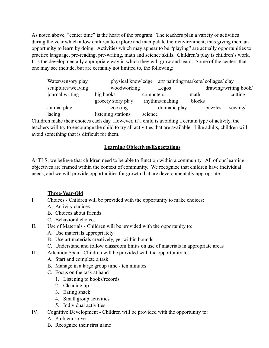As noted above, "center time" is the heart of the program. The teachers plan a variety of activities during the year which allow children to explore and manipulate their environment, thus giving them an opportunity to learn by doing. Activities which may appear to be "playing" are actually opportunities to practice language, pre-reading, pre-writing, math and science skills. Children's play is children's work. It is the developmentally appropriate way in which they will grow and learn. Some of the centers that one may see include, but are certainly not limited to, the following:

| Water/sensory play | physical knowledge |           | art/ painting/markers/ collages/ clay |                       |         |         |
|--------------------|--------------------|-----------|---------------------------------------|-----------------------|---------|---------|
| sculptures/weaving | woodworking        |           | Legos                                 | drawing/writing book/ |         |         |
| journal writing    | big books          | computers |                                       | math                  |         | cutting |
|                    | grocery story play |           | rhythms/making                        | blocks                |         |         |
| animal play        | cooking            |           | dramatic play                         |                       | puzzles | sewing/ |
| lacing             | listening stations | science   |                                       |                       |         |         |

Children make their choices each day. However, if a child is avoiding a certain type of activity, the teachers will try to encourage the child to try all activities that are available. Like adults, children will avoid something that is difficult for them.

# **Learning Objectives/Expectations**

At TLS, we believe that children need to be able to function within a community. All of our learning objectives are framed within the context of community. We recognize that children have individual needs, and we will provide opportunities for growth that are developmentally appropriate.

# **Three-Year-Old**

- I. Choices Children will be provided with the opportunity to make choices:
	- A. Activity choices
	- B. Choices about friends
	- C. Behavioral choices
- II. Use of Materials Children will be provided with the opportunity to:
	- A. Use materials appropriately
	- B. Use art materials creatively, yet within bounds
	- C. Understand and follow classroom limits on use of materials in appropriate areas
- III. Attention Span Children will be provided with the opportunity to:
	- A. Start and complete a task
	- B. Manage in a large group time ten minutes
	- C. Focus on the task at hand
		- 1. Listening to books/records
		- 2. Cleaning up
		- 3. Eating snack
		- 4. Small group activities
		- 5. Individual activities
- IV. Cognitive Development Children will be provided with the opportunity to:
	- A. Problem solve
	- B. Recognize their first name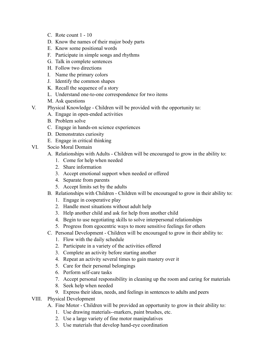- C. Rote count 1 10
- D. Know the names of their major body parts
- E. Know some positional words
- F. Participate in simple songs and rhythms
- G. Talk in complete sentences
- H. Follow two directions
- I. Name the primary colors
- J. Identify the common shapes
- K. Recall the sequence of a story
- L. Understand one-to-one correspondence for two items
- M. Ask questions
- V. Physical Knowledge Children will be provided with the opportunity to:
	- A. Engage in open-ended activities
	- B. Problem solve
	- C. Engage in hands-on science experiences
	- D. Demonstrates curiosity
	- E. Engage in critical thinking
- VI. Socio Moral Domain
	- A. Relationships with Adults Children will be encouraged to grow in the ability to:
		- 1. Come for help when needed
		- 2. Share information
		- 3. Accept emotional support when needed or offered
		- 4. Separate from parents
		- 5. Accept limits set by the adults
	- B. Relationships with Children Children will be encouraged to grow in their ability to:
		- 1. Engage in cooperative play
		- 2. Handle most situations without adult help
		- 3. Help another child and ask for help from another child
		- 4. Begin to use negotiating skills to solve interpersonal relationships
		- 5. Progress from egocentric ways to more sensitive feelings for others
	- C. Personal Development Children will be encouraged to grow in their ability to:
		- 1. Flow with the daily schedule
		- 2. Participate in a variety of the activities offered
		- 3. Complete an activity before starting another
		- 4. Repeat an activity several times to gain mastery over it
		- 5. Care for their personal belongings
		- 6. Perform self-care tasks
		- 7. Accept personal responsibility in cleaning up the room and caring for materials
		- 8. Seek help when needed
		- 9. Express their ideas, needs, and feelings in sentences to adults and peers
- VIII. Physical Development
	- A. Fine Motor Children will be provided an opportunity to grow in their ability to:
		- 1. Use drawing materials--markers, paint brushes, etc.
		- 2. Use a large variety of fine motor manipulatives
		- 3. Use materials that develop hand-eye coordination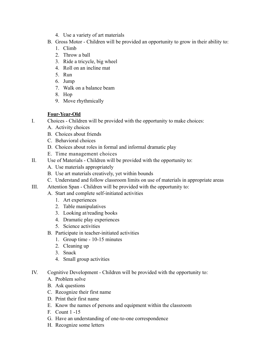- 4. Use a variety of art materials
- B. Gross Motor Children will be provided an opportunity to grow in their ability to:
	- 1. Climb
	- 2. Throw a ball
	- 3. Ride a tricycle, big wheel
	- 4. Roll on an incline mat
	- 5. Run
	- 6. Jump
	- 7. Walk on a balance beam
	- 8. Hop
	- 9. Move rhythmically

# **Four-Year-Old**

- I. Choices Children will be provided with the opportunity to make choices:
	- A. Activity choices
	- B. Choices about friends
	- C. Behavioral choices
	- D. Choices about roles in formal and informal dramatic play
	- E. Time management choices
- II. Use of Materials Children will be provided with the opportunity to:
	- A. Use materials appropriately
	- B. Use art materials creatively, yet within bounds
	- C. Understand and follow classroom limits on use of materials in appropriate areas
- III. Attention Span Children will be provided with the opportunity to:
	- A. Start and complete self-initiated activities
		- 1. Art experiences
		- 2. Table manipulatives
		- 3. Looking at/reading books
		- 4. Dramatic play experiences
		- 5. Science activities
		- B. Participate in teacher-initiated activities
			- 1. Group time 10-15 minutes
			- 2. Cleaning up
			- 3. Snack
			- 4. Small group activities
- IV. Cognitive Development Children will be provided with the opportunity to:
	- A. Problem solve
	- B. Ask questions
	- C. Recognize their first name
	- D. Print their first name
	- E. Know the names of persons and equipment within the classroom
	- F. Count 1 -15
	- G. Have an understanding of one-to-one correspondence
	- H. Recognize some letters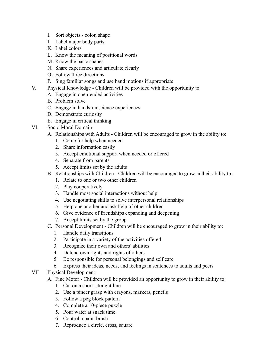- I. Sort objects color, shape
- J. Label major body parts
- K. Label colors
- L. Know the meaning of positional words
- M. Know the basic shapes
- N. Share experiences and articulate clearly
- O. Follow three directions
- P. Sing familiar songs and use hand motions if appropriate
- V. Physical Knowledge Children will be provided with the opportunity to:
	- A. Engage in open-ended activities
	- B. Problem solve
	- C. Engage in hands-on science experiences
	- D. Demonstrate curiosity
	- E. Engage in critical thinking
- VI. Socio Moral Domain
	- A. Relationships with Adults Children will be encouraged to grow in the ability to:
		- 1. Come for help when needed
		- 2. Share information easily
		- 3. Accept emotional support when needed or offered
		- 4. Separate from parents
		- 5. Accept limits set by the adults
	- B. Relationships with Children Children will be encouraged to grow in their ability to:
		- 1. Relate to one or two other children
		- 2. Play cooperatively
		- 3. Handle most social interactions without help
		- 4. Use negotiating skills to solve interpersonal relationships
		- 5. Help one another and ask help of other children
		- 6. Give evidence of friendships expanding and deepening
		- 7. Accept limits set by the group
	- C. Personal Development Children will be encouraged to grow in their ability to:
		- 1. Handle daily transitions
		- 2. Participate in a variety of the activities offered
		- 3. Recognize their own and others' abilities
		- 4. Defend own rights and rights of others
		- 5. Be responsible for personal belongings and self care
		- 6. Express their ideas, needs, and feelings in sentences to adults and peers
- VII Physical Development
	- A. Fine Motor Children will be provided an opportunity to grow in their ability to:
		- 1. Cut on a short, straight line
		- 2. Use a pincer grasp with crayons, markers, pencils
		- 3. Follow a peg block pattern
		- 4. Complete a 10-piece puzzle
		- 5. Pour water at snack time
		- 6. Control a paint brush
		- 7. Reproduce a circle, cross, square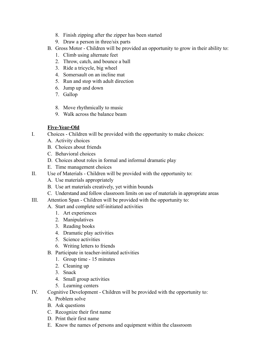- 8. Finish zipping after the zipper has been started
- 9. Draw a person in three/six parts
- B. Gross Motor Children will be provided an opportunity to grow in their ability to:
	- 1. Climb using alternate feet
	- 2. Throw, catch, and bounce a ball
	- 3. Ride a tricycle, big wheel
	- 4. Somersault on an incline mat
	- 5. Run and stop with adult direction
	- 6. Jump up and down
	- 7. Gallop
	- 8. Move rhythmically to music
	- 9. Walk across the balance beam

# **Five-Year-Old**

- I. Choices Children will be provided with the opportunity to make choices:
	- A. Activity choices
	- B. Choices about friends
	- C. Behavioral choices
	- D. Choices about roles in formal and informal dramatic play
	- E. Time management choices
- II. Use of Materials Children will be provided with the opportunity to:
	- A. Use materials appropriately
	- B. Use art materials creatively, yet within bounds
	- C. Understand and follow classroom limits on use of materials in appropriate areas
- III. Attention Span Children will be provided with the opportunity to:
	- A. Start and complete self-initiated activities
		- 1. Art experiences
		- 2. Manipulatives
		- 3. Reading books
		- 4. Dramatic play activities
		- 5. Science activities
		- 6. Writing letters to friends
	- B. Participate in teacher-initiated activities
		- 1. Group time 15 minutes
		- 2. Cleaning up
		- 3. Snack
		- 4. Small group activities
		- 5. Learning centers
- IV. Cognitive Development Children will be provided with the opportunity to:
	- A. Problem solve
	- B. Ask questions
	- C. Recognize their first name
	- D. Print their first name
	- E. Know the names of persons and equipment within the classroom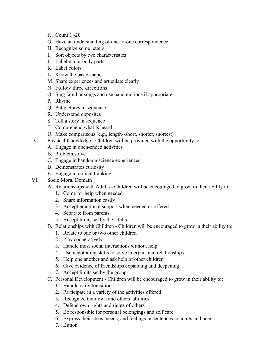- F. Count 1 -20
- G. Have an understanding of one-to-one correspondence
- H. Recognize some letters
- I. Sort objects by two characteristics
- J. Label major body parts
- K. Label colors
- L. Know the basic shapes
- M. Share experiences and articulate clearly
- N. Follow three directions
- O. Sing familiar songs and use hand motions if appropriate
- P. Rhyme
- Q. Put pictures in sequence
- R. Understand opposites
- S. Tell a story in sequence
- T. Comprehend what is heard
- U. Make comparisons (e.g., length--short, shorter, shortest)
- V. Physical Knowledge Children will be provided with the opportunity to:
	- A. Engage in open-ended activities
	- B. Problem solve
	- C. Engage in hands-on science experiences
	- D. Demonstrates curiosity
	- E. Engage in critical thinking
- VI. Socio Moral Domain
	- A. Relationships with Adults Children will be encouraged to grow in their ability to:
		- 1. Come for help when needed
		- 2. Share information easily
		- 3. Accept emotional support when needed or offered
		- 4. Separate from parents
		- 5. Accept limits set by the adults
	- B. Relationships with Children Children will be encouraged to grow in their ability to:
		- 1. Relate to one or two other children
		- 2. Play cooperatively
		- 3. Handle most social interactions without help
		- 4. Use negotiating skills to solve interpersonal relationships
		- 5. Help one another and ask help of other children
		- 6. Give evidence of friendships expanding and deepening
		- 7. Accept limits set by the group
	- C. Personal Development Children will be encouraged to grow in their ability to:
		- 1. Handle daily transitions
		- 2. Participate in a variety of the activities offered
		- 3. Recognize their own and others' abilities
		- 4. Defend own rights and rights of others
		- 5. Be responsible for personal belongings and self care
		- 6. Express their ideas, needs, and feelings in sentences to adults and peers
		- 7. Button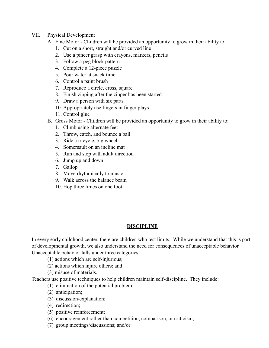- VII. Physical Development
	- A. Fine Motor Children will be provided an opportunity to grow in their ability to:
		- 1. Cut on a short, straight and/or curved line
		- 2. Use a pincer grasp with crayons, markers, pencils
		- 3. Follow a peg block pattern
		- 4. Complete a 12-piece puzzle
		- 5. Pour water at snack time
		- 6. Control a paint brush
		- 7. Reproduce a circle, cross, square
		- 8. Finish zipping after the zipper has been started
		- 9. Draw a person with six parts
		- 10. Appropriately use fingers in finger plays
		- 11. Control glue
	- B. Gross Motor Children will be provided an opportunity to grow in their ability to:
		- 1. Climb using alternate feet
		- 2. Throw, catch, and bounce a ball
		- 3. Ride a tricycle, big wheel
		- 4. Somersault on an incline mat
		- 5. Run and stop with adult direction
		- 6. Jump up and down
		- 7. Gallop
		- 8. Move rhythmically to music
		- 9. Walk across the balance beam
		- 10. Hop three times on one foot

# **DISCIPLINE**

In every early childhood center, there are children who test limits. While we understand that this is part of developmental growth, we also understand the need for consequences of unacceptable behavior. Unacceptable behavior falls under three categories:

- (1) actions which are self-injurious;
- (2) actions which injure others; and
- (3) misuse of materials.

Teachers use positive techniques to help children maintain self-discipline. They include:

- (1) elimination of the potential problem;
- (2) anticipation;
- (3) discussion/explanation;
- (4) redirection;
- (5) positive reinforcement;
- (6) encouragement rather than competition, comparison, or criticism;
- (7) group meetings/discussions; and/or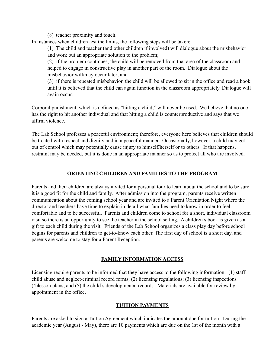(8) teacher proximity and touch.

In instances when children test the limits, the following steps will be taken:

(1) The child and teacher (and other children if involved) will dialogue about the misbehavior and work out an appropriate solution to the problem;

(2) if the problem continues, the child will be removed from that area of the classroom and helped to engage in constructive play in another part of the room. Dialogue about the misbehavior will/may occur later; and

(3) if there is repeated misbehavior, the child will be allowed to sit in the office and read a book until it is believed that the child can again function in the classroom appropriately. Dialogue will again occur.

Corporal punishment, which is defined as "hitting a child," will never be used. We believe that no one has the right to hit another individual and that hitting a child is counterproductive and says that we affirm violence.

The Lab School professes a peaceful environment; therefore, everyone here believes that children should be treated with respect and dignity and in a peaceful manner. Occasionally, however, a child may get out of control which may potentially cause injury to himself/herself or to others. If that happens, restraint may be needed, but it is done in an appropriate manner so as to protect all who are involved.

# **ORIENTING CHILDREN AND FAMILIES TO THE PROGRAM**

Parents and their children are always invited for a personal tour to learn about the school and to be sure it is a good fit for the child and family. After admission into the program, parents receive written communication about the coming school year and are invited to a Parent Orientation Night where the director and teachers have time to explain in detail what families need to know in order to feel comfortable and to be successful. Parents and children come to school for a short, individual classroom visit so there is an opportunity to see the teacher in the school setting. A children's book is given as a gift to each child during the visit. Friends of the Lab School organizes a class play day before school begins for parents and children to get-to-know each other. The first day of school is a short day, and parents are welcome to stay for a Parent Reception.

# **FAMILY INFORMATION ACCESS**

Licensing require parents to be informed that they have access to the following information: (1) staff child abuse and neglect/criminal record forms; (2) licensing regulations; (3) licensing inspections (4)lesson plans; and (5) the child's developmental records. Materials are available for review by appointment in the office.

# **TUITION PAYMENTS**

Parents are asked to sign a Tuition Agreement which indicates the amount due for tuition. During the academic year (August - May), there are 10 payments which are due on the 1st of the month with a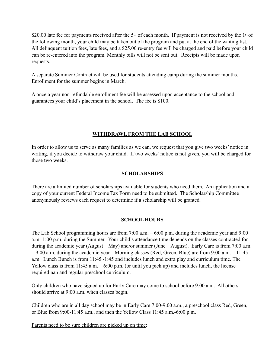\$20.00 late fee for payments received after the 5<sup>th</sup> of each month. If payment is not received by the 1<sup>st</sup> of the following month, your child may be taken out of the program and put at the end of the waiting list. All delinquent tuition fees, late fees, and a \$25.00 re-entry fee will be charged and paid before your child can be re-entered into the program. Monthly bills will not be sent out. Receipts will be made upon requests.

A separate Summer Contract will be used for students attending camp during the summer months. Enrollment for the summer begins in March.

A once a year non-refundable enrollment fee will be assessed upon acceptance to the school and guarantees your child's placement in the school. The fee is \$100.

# **WITHDRAWL FROM THE LAB SCHOOL**

In order to allow us to serve as many families as we can, we request that you give two weeks' notice in writing, if you decide to withdraw your child. If two weeks' notice is not given, you will be charged for those two weeks.

# **SCHOLARSHIPS**

There are a limited number of scholarships available for students who need them. An application and a copy of your current Federal Income Tax Form need to be submitted. The Scholarship Committee anonymously reviews each request to determine if a scholarship will be granted.

# **SCHOOL HOURS**

The Lab School programming hours are from 7:00 a.m. – 6:00 p.m. during the academic year and 9:00 a.m.-1:00 p.m. during the Summer. Your child's attendance time depends on the classes contracted for during the academic year (August – May) and/or summer (June – August). Early Care is from 7:00 a.m. – 9:00 a.m. during the academic year. Morning classes (Red, Green, Blue) are from 9:00 a.m. – 11:45 a.m. Lunch Bunch is from 11:45 -1:45 and includes lunch and extra play and curriculum time. The Yellow class is from 11:45 a.m. – 6:00 p.m. (or until you pick up) and includes lunch, the license required nap and regular preschool curriculum.

Only children who have signed up for Early Care may come to school before 9:00 a.m. All others should arrive at 9:00 a.m. when classes begin.

Children who are in all day school may be in Early Care 7:00-9:00 a.m., a preschool class Red, Green, or Blue from 9:00-11:45 a.m., and then the Yellow Class 11:45 a.m.-6:00 p.m.

Parents need to be sure children are picked up on time: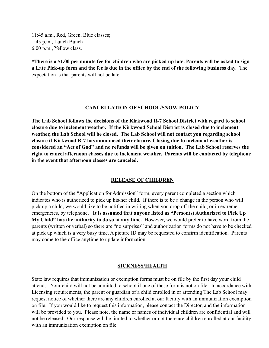11:45 a.m., Red, Green, Blue classes; 1:45 p.m., Lunch Bunch 6:00 p.m., Yellow class.

**\*There is a \$1.00 per minute fee for children who are picked up late. Parents will be asked to sign a Late Pick-up form and the fee is due in the office by the end of the following business day.** The expectation is that parents will not be late.

#### **CANCELLATION OF SCHOOL/SNOW POLICY**

**The Lab School follows the decisions of the Kirkwood R-7 School District with regard to school closure due to inclement weather. If the Kirkwood School District is closed due to inclement weather, the Lab School will be closed. The Lab School will not contact you regarding school closure if Kirkwood R-7 has announced their closure. Closing due to inclement weather is considered an "Act of God" and no refunds will be given on tuition. The Lab School reserves the right to cancel afternoon classes due to inclement weather. Parents will be contacted by telephone in the event that afternoon classes are canceled.** 

# **RELEASE OF CHILDREN**

On the bottom of the "Application for Admission" form, every parent completed a section which indicates who is authorized to pick up his/her child. If there is to be a change in the person who will pick up a child, we would like to be notified in writing when you drop off the child, or in extreme emergencies, by telephone**. It is assumed that anyone listed as "Person(s) Authorized to Pick Up My Child" has the authority to do so at any time.** However, we would prefer to have word from the parents (written or verbal) so there are "no surprises" and authorization forms do not have to be checked at pick up which is a very busy time. A picture ID may be requested to confirm identification. Parents may come to the office anytime to update information.

#### **SICKNESS/HEALTH**

State law requires that immunization or exemption forms must be on file by the first day your child attends. Your child will not be admitted to school if one of these form is not on file. In accordance with Licensing requirements, the parent or guardian of a child enrolled in or attending The Lab School may request notice of whether there are any children enrolled at our facility with an immunization exemption on file. If you would like to request this information, please contact the Director, and the information will be provided to you. Please note, the name or names of individual children are confidential and will not be released. Our response will be limited to whether or not there are children enrolled at our facility with an immunization exemption on file.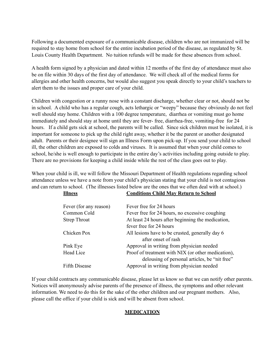Following a documented exposure of a communicable disease, children who are not immunized will be required to stay home from school for the entire incubation period of the disease, as regulated by St. Louis County Health Department. No tuition refunds will be made for these absences from school.

A health form signed by a physician and dated within 12 months of the first day of attendance must also be on file within 30 days of the first day of attendance. We will check all of the medical forms for allergies and other health concerns, but would also suggest you speak directly to your child's teachers to alert them to the issues and proper care of your child.

Children with congestion or a runny nose with a constant discharge, whether clear or not, should not be in school. A child who has a regular cough, acts lethargic or "weepy" because they obviously do not feel well should stay home. Children with a 100 degree temperature, diarrhea or vomiting must go home immediately and should stay at home until they are fever- free, diarrhea-free, vomiting-free for 24 hours. If a child gets sick at school, the parents will be called. Since sick children must be isolated, it is important for someone to pick up the child right away, whether it be the parent or another designated adult. Parents or their designee will sign an Illness Form upon pick-up. If you send your child to school ill, the other children are exposed to colds and viruses. It is assumed that when your child comes to school, he/she is well enough to participate in the entire day's activities including going outside to play. There are no provisions for keeping a child inside while the rest of the class goes out to play.

When your child is ill, we will follow the Missouri Department of Health regulations regarding school attendance unless we have a note from your child's physician stating that your child is not contagious and can return to school. (The illnesses listed below are the ones that we often deal with at school.)

| <b>Illness</b>         | <b>Conditions Child May Return to School</b>                                                        |
|------------------------|-----------------------------------------------------------------------------------------------------|
| Fever (for any reason) | Fever free for 24 hours                                                                             |
| Common Cold            | Fever free for 24 hours, no excessive coughing                                                      |
| <b>Strep Throat</b>    | At least 24 hours after beginning the medication,                                                   |
|                        | fever free for 24 hours                                                                             |
| Chicken Pox            | All lesions have to be crusted, generally day 6<br>after onset of rash                              |
| Pink Eye               | Approval in writing from physician needed                                                           |
| Head Lice              | Proof of treatment with NIX (or other medication),<br>delousing of personal articles, be "nit free" |
| <b>Fifth Disease</b>   | Approval in writing from physician needed                                                           |
|                        |                                                                                                     |

If your child contracts any communicable disease, please let us know so that we can notify other parents. Notices will anonymously advise parents of the presence of illness, the symptoms and other relevant information. We need to do this for the sake of the other children and our pregnant mothers. Also, please call the office if your child is sick and will be absent from school.

# **MEDICATION**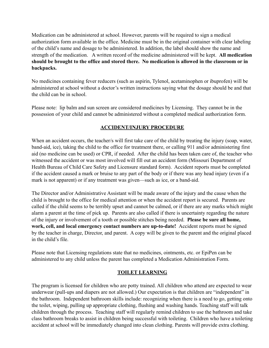Medication can be administered at school. However, parents will be required to sign a medical authorization form available in the office. Medicine must be in the original container with clear labeling of the child's name and dosage to be administered. In addition, the label should show the name and strength of the medication. A written record of the medicine administered will be kept. **All medication should be brought to the office and stored there. No medication is allowed in the classroom or in backpacks.** 

No medicines containing fever reducers (such as aspirin, Tylenol, acetaminophen or ibuprofen) will be administered at school without a doctor's written instructions saying what the dosage should be and that the child can be in school.

Please note: lip balm and sun screen are considered medicines by Licensing. They cannot be in the possession of your child and cannot be administered without a completed medical authorization form.

# **ACCIDENT/INJURY PROCEDURE**

When an accident occurs, the teacher/s will first take care of the child by treating the injury (soap, water, band-aid, ice), taking the child to the office for treatment there, or calling 911 and/or administering first aid (no medicine can be used) or CPR, if needed. After the child has been taken care of, the teacher who witnessed the accident or was most involved will fill out an accident form (Missouri Department of Health Bureau of Child Care Safety and Licensure standard form). Accident reports must be completed if the accident caused a mark or bruise to any part of the body or if there was any head injury (even if a mark is not apparent) or if any treatment was given—such as ice, or a band-aid.

The Director and/or Administrative Assistant will be made aware of the injury and the cause when the child is brought to the office for medical attention or when the accident report is secured. Parents are called if the child seems to be terribly upset and cannot be calmed, or if there are any marks which might alarm a parent at the time of pick up. Parents are also called if there is uncertainty regarding the nature of the injury or involvement of a tooth or possible stitches being needed. **Please be sure all home, work, cell, and local emergency contact numbers are up-to-date!** Accident reports must be signed by the teacher in charge, Director, and parent. A copy will be given to the parent and the original placed in the child's file.

Please note that Licensing regulations state that no medicines, ointments, etc. or EpiPen can be administered to any child unless the parent has completed a Medication Administration Form.

# **TOILET LEARNING**

The program is licensed for children who are potty trained. All children who attend are expected to wear underwear (pull-ups and diapers are not allowed.) Our expectation is that children are "independent" in the bathroom. Independent bathroom skills include: recognizing when there is a need to go, getting onto the toilet, wiping, pulling up appropriate clothing, flushing and washing hands. Teaching staff will talk children through the process. Teaching staff will regularly remind children to use the bathroom and take class bathroom breaks to assist in children being successful with toileting. Children who have a toileting accident at school will be immediately changed into clean clothing. Parents will provide extra clothing.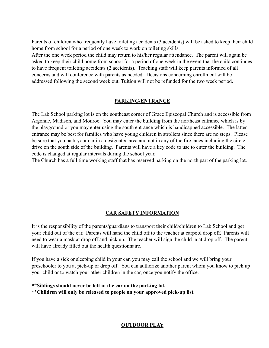Parents of children who frequently have toileting accidents (3 accidents) will be asked to keep their child home from school for a period of one week to work on toileting skills.

After the one week period the child may return to his/her regular attendance. The parent will again be asked to keep their child home from school for a period of one week in the event that the child continues to have frequent toileting accidents (2 accidents). Teaching staff will keep parents informed of all concerns and will conference with parents as needed. Decisions concerning enrollment will be addressed following the second week out. Tuition will not be refunded for the two week period.

# **PARKING/ENTRANCE**

The Lab School parking lot is on the southeast corner of Grace Episcopal Church and is accessible from Argonne, Madison, and Monroe. You may enter the building from the northeast entrance which is by the playground or you may enter using the south entrance which is handicapped accessible. The latter entrance may be best for families who have young children in strollers since there are no steps. Please be sure that you park your car in a designated area and not in any of the fire lanes including the circle drive on the south side of the building. Parents will have a key code to use to enter the building. The code is changed at regular intervals during the school year.

The Church has a full time working staff that has reserved parking on the north part of the parking lot.

# **CAR SAFETY INFORMATION**

It is the responsibility of the parents/guardians to transport their child/children to Lab School and get your child out of the car. Parents will hand the child off to the teacher at carpool drop off. Parents will need to wear a mask at drop off and pick up. The teacher will sign the child in at drop off. The parent will have already filled out the health questionnaire.

If you have a sick or sleeping child in your car, you may call the school and we will bring your preschooler to you at pick-up or drop off. You can authorize another parent whom you know to pick up your child or to watch your other children in the car, once you notify the office.

**\*\*Siblings should never be left in the car on the parking lot. \*\*Children will only be released to people on your approved pick-up list.** 

# **OUTDOOR PLAY**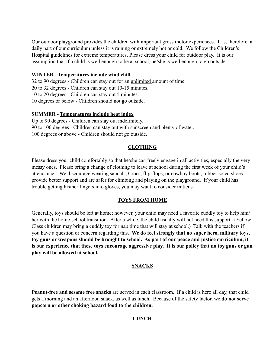Our outdoor playground provides the children with important gross motor experiences. It is, therefore, a daily part of our curriculum unless it is raining or extremely hot or cold. We follow the Children's Hospital guidelines for extreme temperatures. Please dress your child for outdoor play. It is our assumption that if a child is well enough to be at school, he/she is well enough to go outside.

#### **WINTER - Temperatures include wind chill**

32 to 90 degrees - Children can stay out for an unlimited amount of time. 20 to 32 degrees - Children can stay out 10-15 minutes. 10 to 20 degrees - Children can stay out 5 minutes. 10 degrees or below - Children should not go outside.

# **SUMMER - Temperatures include heat index**

Up to 90 degrees - Children can stay out indefinitely. 90 to 100 degrees - Children can stay out with sunscreen and plenty of water. 100 degrees or above - Children should not go outside.

# **CLOTHING**

Please dress your child comfortably so that he/she can freely engage in all activities, especially the very messy ones. Please bring a change of clothing to leave at school during the first week of your child's attendance. We discourage wearing sandals, Crocs, flip-flops, or cowboy boots; rubber-soled shoes provide better support and are safer for climbing and playing on the playground. If your child has trouble getting his/her fingers into gloves, you may want to consider mittens.

# **TOYS FROM HOME**

Generally, toys should be left at home; however, your child may need a favorite cuddly toy to help him/ her with the home-school transition. After a while, the child usually will not need this support. (Yellow Class children may bring a cuddly toy for nap time that will stay at school.) Talk with the teachers if you have a question or concern regarding this. **We do feel strongly that no super hero, military toys, toy guns or weapons should be brought to school. As part of our peace and justice curriculum, it is our experience that these toys encourage aggressive play. It is our policy that no toy guns or gun play will be allowed at school.** 

# **SNACKS**

**Peanut-free and sesame free snacks** are served in each classroom. If a child is here all day, that child gets a morning and an afternoon snack, as well as lunch. Because of the safety factor, we **do not serve popcorn or other choking hazard food to the children.** 

# **LUNCH**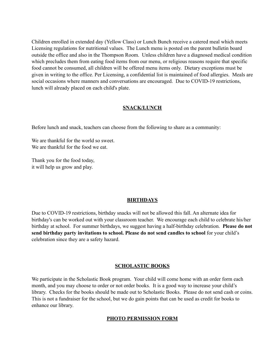Children enrolled in extended day (Yellow Class) or Lunch Bunch receive a catered meal which meets Licensing regulations for nutritional values. The Lunch menu is posted on the parent bulletin board outside the office and also in the Thompson Room. Unless children have a diagnosed medical condition which precludes them from eating food items from our menu, or religious reasons require that specific food cannot be consumed, all children will be offered menu items only. Dietary exceptions must be given in writing to the office. Per Licensing, a confidential list is maintained of food allergies. Meals are social occasions where manners and conversations are encouraged. Due to COVID-19 restrictions, lunch will already placed on each child's plate.

# **SNACK/LUNCH**

Before lunch and snack, teachers can choose from the following to share as a community:

We are thankful for the world so sweet. We are thankful for the food we eat.

Thank you for the food today, it will help us grow and play.

# **BIRTHDAYS**

Due to COVID-19 restrictions, birthday snacks will not be allowed this fall. An alternate idea for birthday's can be worked out with your classroom teacher. We encourage each child to celebrate his/her birthday at school. For summer birthdays, we suggest having a half-birthday celebration. **Please do not send birthday party invitations to school. Please do not send candles to school** for your child's celebration since they are a safety hazard.

#### **SCHOLASTIC BOOKS**

We participate in the Scholastic Book program. Your child will come home with an order form each month, and you may choose to order or not order books. It is a good way to increase your child's library. Checks for the books should be made out to Scholastic Books. Please do not send cash or coins. This is not a fundraiser for the school, but we do gain points that can be used as credit for books to enhance our library.

#### **PHOTO PERMISSION FORM**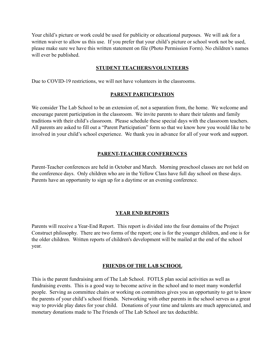Your child's picture or work could be used for publicity or educational purposes. We will ask for a written waiver to allow us this use. If you prefer that your child's picture or school work not be used, please make sure we have this written statement on file (Photo Permission Form). No children's names will ever be published.

#### **STUDENT TEACHERS/VOLUNTEERS**

Due to COVID-19 restrictions, we will not have volunteers in the classrooms.

#### **PARENT PARTICIPATION**

We consider The Lab School to be an extension of, not a separation from, the home. We welcome and encourage parent participation in the classroom. We invite parents to share their talents and family traditions with their child's classroom. Please schedule these special days with the classroom teachers. All parents are asked to fill out a "Parent Participation" form so that we know how you would like to be involved in your child's school experience. We thank you in advance for all of your work and support.

#### **PARENT-TEACHER CONFERENCES**

Parent-Teacher conferences are held in October and March. Morning preschool classes are not held on the conference days. Only children who are in the Yellow Class have full day school on these days. Parents have an opportunity to sign up for a daytime or an evening conference.

# **YEAR END REPORTS**

Parents will receive a Year-End Report. This report is divided into the four domains of the Project Construct philosophy. There are two forms of the report; one is for the younger children, and one is for the older children. Written reports of children's development will be mailed at the end of the school year.

# **FRIENDS OF THE LAB SCHOOL**

This is the parent fundraising arm of The Lab School. FOTLS plan social activities as well as fundraising events. This is a good way to become active in the school and to meet many wonderful people. Serving as committee chairs or working on committees gives you an opportunity to get to know the parents of your child's school friends. Networking with other parents in the school serves as a great way to provide play dates for your child. Donations of your time and talents are much appreciated, and monetary donations made to The Friends of The Lab School are tax deductible.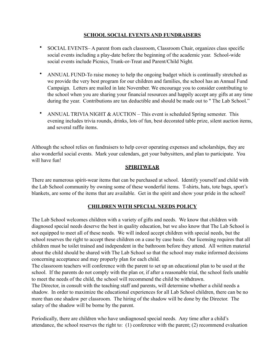# **SCHOOL SOCIAL EVENTS AND FUNDRAISERS**

- SOCIAL EVENTS– A parent from each classroom, Classroom Chair, organizes class specific social events including a play-date before the beginning of the academic year. School-wide social events include Picnics, Trunk-or-Treat and Parent/Child Night.
- ANNUAL FUND-To raise money to help the ongoing budget which is continually stretched as we provide the very best program for our children and families, the school has an Annual Fund Campaign. Letters are mailed in late November. We encourage you to consider contributing to the school when you are sharing your financial resources and happily accept any gifts at any time during the year. Contributions are tax deductible and should be made out to "The Lab School."
- ANNUAL TRIVIA NIGHT  $& AUCTION This event is scheduled Spring semester. This$ evening includes trivia rounds, drinks, lots of fun, best decorated table prize, silent auction items, and several raffle items.

Although the school relies on fundraisers to help cover operating expenses and scholarships, they are also wonderful social events. Mark your calendars, get your babysitters, and plan to participate. You will have fun!

# **SPIRITWEAR**

There are numerous spirit-wear items that can be purchased at school. Identify yourself and child with the Lab School community by owning some of these wonderful items. T-shirts, hats, tote bags, sport's blankets, are some of the items that are available. Get in the spirit and show your pride in the school!

# **CHILDREN WITH SPECIAL NEEDS POLICY**

The Lab School welcomes children with a variety of gifts and needs. We know that children with diagnosed special needs deserve the best in quality education, but we also know that The Lab School is not equipped to meet all of these needs. We will indeed accept children with special needs, but the school reserves the right to accept these children on a case by case basis. Our licensing requires that all children must be toilet trained and independent in the bathroom before they attend. All written material about the child should be shared with The Lab School so that the school may make informed decisions concerning acceptance and may properly plan for each child.

The classroom teachers will conference with the parent to set up an educational plan to be used at the school. If the parents do not comply with the plan or, if after a reasonable trial, the school feels unable to meet the needs of the child, the school will recommend the child be withdrawn.

The Director, in consult with the teaching staff and parents, will determine whether a child needs a shadow. In order to maximize the educational experiences for all Lab School children, there can be no more than one shadow per classroom. The hiring of the shadow will be done by the Director. The salary of the shadow will be borne by the parent.

Periodically, there are children who have undiagnosed special needs. Any time after a child's attendance, the school reserves the right to: (1) conference with the parent; (2) recommend evaluation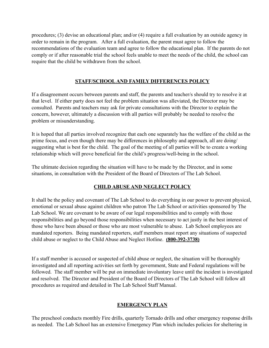procedures; (3) devise an educational plan; and/or (4) require a full evaluation by an outside agency in order to remain in the program. After a full evaluation, the parent must agree to follow the recommendations of the evaluation team and agree to follow the educational plan. If the parents do not comply or if after reasonable trial the school feels unable to meet the needs of the child, the school can require that the child be withdrawn from the school.

# **STAFF/SCHOOL AND FAMILY DIFFERENCES POLICY**

If a disagreement occurs between parents and staff, the parents and teacher/s should try to resolve it at that level. If either party does not feel the problem situation was alleviated, the Director may be consulted. Parents and teachers may ask for private consultations with the Director to explain the concern, however, ultimately a discussion with all parties will probably be needed to resolve the problem or misunderstanding.

It is hoped that all parties involved recognize that each one separately has the welfare of the child as the prime focus, and even though there may be differences in philosophy and approach, all are doing/ suggesting what is best for the child. The goal of the meeting of all parties will be to create a working relationship which will prove beneficial for the child's progress/well-being in the school.

The ultimate decision regarding the situation will have to be made by the Director, and in some situations, in consultation with the President of the Board of Directors of The Lab School.

# **CHILD ABUSE AND NEGLECT POLICY**

It shall be the policy and covenant of The Lab School to do everything in our power to prevent physical, emotional or sexual abuse against children who patron The Lab School or activities sponsored by The Lab School. We are covenant to be aware of our legal responsibilities and to comply with those responsibilities and go beyond those responsibilities when necessary to act justly in the best interest of those who have been abused or those who are most vulnerable to abuse. Lab School employees are mandated reporters. Being mandated reporters, staff members must report any situations of suspected child abuse or neglect to the Child Abuse and Neglect Hotline. **(800-392-3738)**

If a staff member is accused or suspected of child abuse or neglect, the situation will be thoroughly investigated and all reporting activities set forth by government, State and Federal regulations will be followed. The staff member will be put on immediate involuntary leave until the incident is investigated and resolved. The Director and President of the Board of Directors of The Lab School will follow all procedures as required and detailed in The Lab School Staff Manual.

# **EMERGENCY PLAN**

The preschool conducts monthly Fire drills, quarterly Tornado drills and other emergency response drills as needed. The Lab School has an extensive Emergency Plan which includes policies for sheltering in